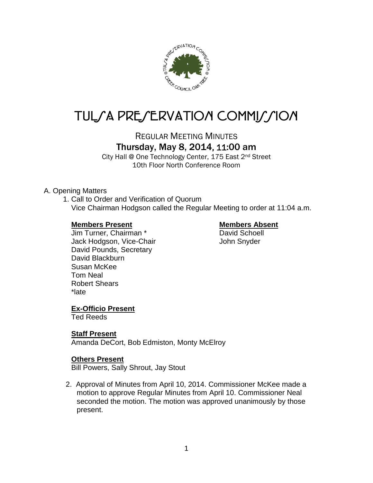

# TUL/A PRE/ERVATION COMMI*J*/ION

REGULAR MEETING MINUTES

# Thursday, May 8, 2014, 11:00 am

City Hall @ One Technology Center, 175 East 2nd Street 10th Floor North Conference Room

#### A. Opening Matters

1. Call to Order and Verification of Quorum Vice Chairman Hodgson called the Regular Meeting to order at 11:04 a.m.

#### **Members Present Members Absent**

Jim Turner, Chairman \* David Schoell Jack Hodgson, Vice-Chair John Snyder David Pounds, Secretary David Blackburn Susan McKee Tom Neal Robert Shears \*late

### **Ex-Officio Present**

Ted Reeds

#### **Staff Present**

Amanda DeCort, Bob Edmiston, Monty McElroy

#### **Others Present**

Bill Powers, Sally Shrout, Jay Stout

2. Approval of Minutes from April 10, 2014. Commissioner McKee made a motion to approve Regular Minutes from April 10. Commissioner Neal seconded the motion. The motion was approved unanimously by those present.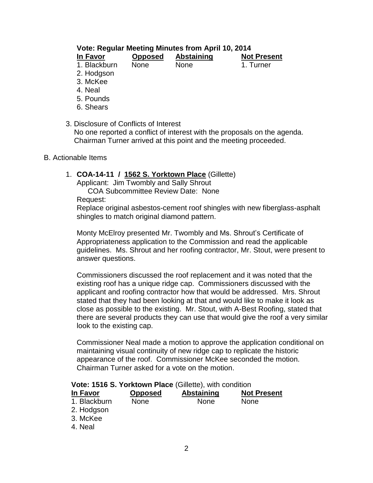# **Vote: Regular Meeting Minutes from April 10, 2014**

| In Favor     | <b>Opposed</b> | <b>Abstaining</b> | <b>Not Present</b> |
|--------------|----------------|-------------------|--------------------|
| 1. Blackburn | <b>None</b>    | <b>None</b>       | 1. Turner          |

- 2. Hodgson
- 3. McKee
- 
- 
- 
- 
- 4. Neal
- 5. Pounds
- 6. Shears
- 3. Disclosure of Conflicts of Interest

No one reported a conflict of interest with the proposals on the agenda. Chairman Turner arrived at this point and the meeting proceeded.

#### B. Actionable Items

1. **COA-14-11 / 1562 S. Yorktown Place** (Gillette)

Applicant: Jim Twombly and Sally Shrout

COA Subcommittee Review Date: None Request:

Replace original asbestos-cement roof shingles with new fiberglass-asphalt shingles to match original diamond pattern.

Monty McElroy presented Mr. Twombly and Ms. Shrout's Certificate of Appropriateness application to the Commission and read the applicable guidelines. Ms. Shrout and her roofing contractor, Mr. Stout, were present to answer questions.

Commissioners discussed the roof replacement and it was noted that the existing roof has a unique ridge cap. Commissioners discussed with the applicant and roofing contractor how that would be addressed. Mrs. Shrout stated that they had been looking at that and would like to make it look as close as possible to the existing. Mr. Stout, with A-Best Roofing, stated that there are several products they can use that would give the roof a very similar look to the existing cap.

Commissioner Neal made a motion to approve the application conditional on maintaining visual continuity of new ridge cap to replicate the historic appearance of the roof. Commissioner McKee seconded the motion. Chairman Turner asked for a vote on the motion.

#### **Vote: 1516 S. Yorktown Place** (Gillette), with condition

| In Favor     | <b>Opposed</b> | <b>Abstaining</b> | <b>Not Present</b> |
|--------------|----------------|-------------------|--------------------|
| 1. Blackburn | None           | None              | <b>None</b>        |
| 2. Hodgson   |                |                   |                    |
| 3. McKee     |                |                   |                    |
| 4. Neal      |                |                   |                    |
|              |                |                   |                    |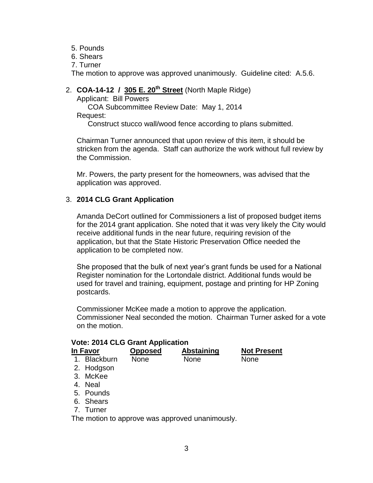- 5. Pounds
- 6. Shears
- 7. Turner

The motion to approve was approved unanimously. Guideline cited: A.5.6.

# 2. **COA-14-12 / 305 E. 20th Street** (North Maple Ridge)

Applicant: Bill Powers

COA Subcommittee Review Date: May 1, 2014 Request:

Construct stucco wall/wood fence according to plans submitted.

Chairman Turner announced that upon review of this item, it should be stricken from the agenda. Staff can authorize the work without full review by the Commission.

Mr. Powers, the party present for the homeowners, was advised that the application was approved.

#### 3. **2014 CLG Grant Application**

Amanda DeCort outlined for Commissioners a list of proposed budget items for the 2014 grant application. She noted that it was very likely the City would receive additional funds in the near future, requiring revision of the application, but that the State Historic Preservation Office needed the application to be completed now.

She proposed that the bulk of next year's grant funds be used for a National Register nomination for the Lortondale district. Additional funds would be used for travel and training, equipment, postage and printing for HP Zoning postcards.

Commissioner McKee made a motion to approve the application. Commissioner Neal seconded the motion. Chairman Turner asked for a vote on the motion.

| In Favor     | <b>Opposed</b> | Abstaining  | <b>Not Present</b> |
|--------------|----------------|-------------|--------------------|
| 1. Blackburn | <b>None</b>    | <b>None</b> | <b>None</b>        |

- 2. Hodgson
- 3. McKee
- 4. Neal
- 5. Pounds
- 6. Shears
- 7. Turner

The motion to approve was approved unanimously.